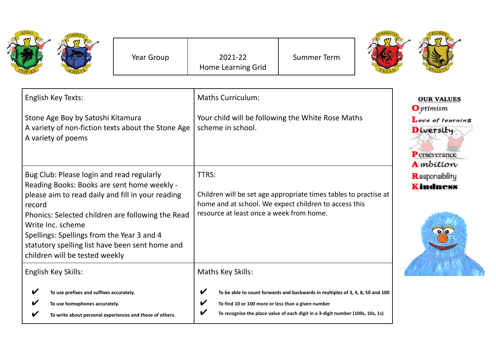|                                                                                                                                                                                                                                                                                                                                                                      | Year Group | 2021-22<br>Home Learning Grid                                                                                                                                                  | <b>Summer Term</b>                                                                                                                                               |                                                                                                                    |
|----------------------------------------------------------------------------------------------------------------------------------------------------------------------------------------------------------------------------------------------------------------------------------------------------------------------------------------------------------------------|------------|--------------------------------------------------------------------------------------------------------------------------------------------------------------------------------|------------------------------------------------------------------------------------------------------------------------------------------------------------------|--------------------------------------------------------------------------------------------------------------------|
| English Key Texts:<br>Stone Age Boy by Satoshi Kitamura<br>A variety of non-fiction texts about the Stone Age<br>A variety of poems                                                                                                                                                                                                                                  |            | <b>Maths Curriculum:</b><br>Your child will be following the White Rose Maths<br>scheme in school.                                                                             |                                                                                                                                                                  | <b>OUR VALUES</b><br><b>O</b> ptimism<br>Love of learning<br>Diversity<br><b>P</b> erseverance<br><b>A</b> mbition |
| Bug Club: Please login and read regularly<br>Reading Books: Books are sent home weekly -<br>please aim to read daily and fill in your reading<br>record<br>Phonics: Selected children are following the Read<br>Write Inc. scheme<br>Spellings: Spellings from the Year 3 and 4<br>statutory spelling list have been sent home and<br>children will be tested weekly |            | TTRS:<br>Children will be set age appropriate times tables to practise at<br>home and at school. We expect children to access this<br>resource at least once a week from home. |                                                                                                                                                                  | Responsibility<br><b>Kindness</b>                                                                                  |
| English Key Skills:<br>To use prefixes and suffixes accurately.<br>To use homophones accurately.<br>To write about personal experiences and those of others.                                                                                                                                                                                                         |            | Maths Key Skills:<br>To find 10 or 100 more or less than a given number                                                                                                        | To be able to count forwards and backwards in multiples of 3, 4, 8, 50 and 100<br>To recognise the place value of each digit in a 3-digit number (100s, 10s, 1s) |                                                                                                                    |

◢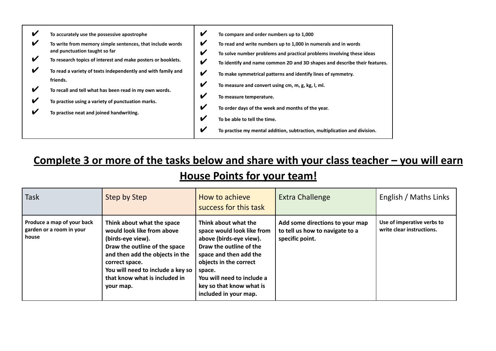| V<br>To accurately use the possessive apostrophe<br>V<br>To write from memory simple sentences, that include words<br>and punctuation taught so far<br>V<br>To research topics of interest and make posters or booklets.<br>V<br>To read a variety of texts independently and with family and<br>friends.<br>V<br>To recall and tell what has been read in my own words.<br>V<br>To practise using a variety of punctuation marks.<br>V<br>To practise neat and joined handwriting. | V<br>To compare and order numbers up to 1,000<br>V<br>To read and write numbers up to 1,000 in numerals and in words<br>V<br>To solve number problems and practical problems involving these ideas<br>V<br>To identify and name common 2D and 3D shapes and describe their features.<br>V<br>To make symmetrical patterns and identify lines of symmetry.<br>$\boldsymbol{\mathcal{U}}$<br>To measure and convert using cm, m, g, kg, l, ml.<br>$\boldsymbol{\mathcal{U}}$<br>To measure temperature.<br>$\boldsymbol{\mathcal{U}}$<br>To order days of the week and months of the year.<br>$\boldsymbol{\nu}$<br>To be able to tell the time.<br>$\boldsymbol{\mathcal{U}}$<br>To practise my mental addition, subtraction, multiplication and division. |
|-------------------------------------------------------------------------------------------------------------------------------------------------------------------------------------------------------------------------------------------------------------------------------------------------------------------------------------------------------------------------------------------------------------------------------------------------------------------------------------|-----------------------------------------------------------------------------------------------------------------------------------------------------------------------------------------------------------------------------------------------------------------------------------------------------------------------------------------------------------------------------------------------------------------------------------------------------------------------------------------------------------------------------------------------------------------------------------------------------------------------------------------------------------------------------------------------------------------------------------------------------------|
|-------------------------------------------------------------------------------------------------------------------------------------------------------------------------------------------------------------------------------------------------------------------------------------------------------------------------------------------------------------------------------------------------------------------------------------------------------------------------------------|-----------------------------------------------------------------------------------------------------------------------------------------------------------------------------------------------------------------------------------------------------------------------------------------------------------------------------------------------------------------------------------------------------------------------------------------------------------------------------------------------------------------------------------------------------------------------------------------------------------------------------------------------------------------------------------------------------------------------------------------------------------|

## **Complete 3 or more of the tasks below and share with your class teacher – you will earn House Points for your team!**

| <b>Task</b>                                                     | Step by Step                                                                                                                                                                                                                                           | How to achieve<br>success for this task                                                                                                                                                                                                                   | <b>Extra Challenge</b>                                                                | English / Maths Links                                   |
|-----------------------------------------------------------------|--------------------------------------------------------------------------------------------------------------------------------------------------------------------------------------------------------------------------------------------------------|-----------------------------------------------------------------------------------------------------------------------------------------------------------------------------------------------------------------------------------------------------------|---------------------------------------------------------------------------------------|---------------------------------------------------------|
| Produce a map of your back<br>garden or a room in your<br>house | Think about what the space<br>would look like from above<br>(birds-eye view).<br>Draw the outline of the space<br>and then add the objects in the<br>correct space.<br>You will need to include a key so<br>that know what is included in<br>your map. | Think about what the<br>space would look like from<br>above (birds-eye view).<br>Draw the outline of the<br>space and then add the<br>objects in the correct<br>space.<br>You will need to include a<br>key so that know what is<br>included in your map. | Add some directions to your map<br>to tell us how to navigate to a<br>specific point. | Use of imperative verbs to<br>write clear instructions. |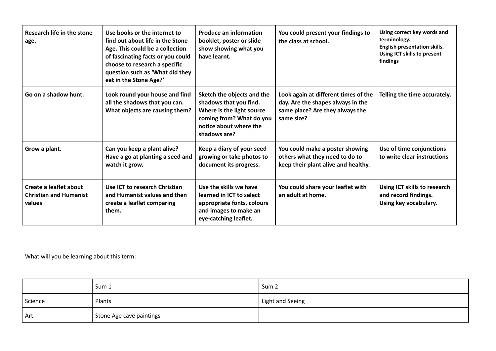| Research life in the stone<br>age.                                | Use books or the internet to<br>find out about life in the Stone<br>Age. This could be a collection<br>of fascinating facts or you could<br>choose to research a specific<br>question such as 'What did they<br>eat in the Stone Age?' | <b>Produce an information</b><br>booklet, poster or slide<br>show showing what you<br>have learnt.                                                      | You could present your findings to<br>the class at school.                                                                 | Using correct key words and<br>terminology.<br><b>English presentation skills.</b><br>Using ICT skills to present<br>findings |
|-------------------------------------------------------------------|----------------------------------------------------------------------------------------------------------------------------------------------------------------------------------------------------------------------------------------|---------------------------------------------------------------------------------------------------------------------------------------------------------|----------------------------------------------------------------------------------------------------------------------------|-------------------------------------------------------------------------------------------------------------------------------|
| Go on a shadow hunt.                                              | Look round your house and find<br>all the shadows that you can.<br>What objects are causing them?                                                                                                                                      | Sketch the objects and the<br>shadows that you find.<br>Where is the light source<br>coming from? What do you<br>notice about where the<br>shadows are? | Look again at different times of the<br>day. Are the shapes always in the<br>same place? Are they always the<br>same size? | Telling the time accurately.                                                                                                  |
| Grow a plant.                                                     | Can you keep a plant alive?<br>Have a go at planting a seed and<br>watch it grow.                                                                                                                                                      | Keep a diary of your seed<br>growing or take photos to<br>document its progress.                                                                        | You could make a poster showing<br>others what they need to do to<br>keep their plant alive and healthy.                   | Use of time conjunctions<br>to write clear instructions.                                                                      |
| Create a leaflet about<br><b>Christian and Humanist</b><br>values | Use ICT to research Christian<br>and Humanist values and then<br>create a leaflet comparing<br>them.                                                                                                                                   | Use the skills we have<br>learned in ICT to select<br>appropriate fonts, colours<br>and images to make an<br>eye-catching leaflet.                      | You could share your leaflet with<br>an adult at home.                                                                     | Using ICT skills to research<br>and record findings.<br>Using key vocabulary.                                                 |

What will you be learning about this term:

|         | Sum 1                    | Sum <sub>2</sub> |
|---------|--------------------------|------------------|
| Science | Plants                   | Light and Seeing |
| Art     | Stone Age cave paintings |                  |